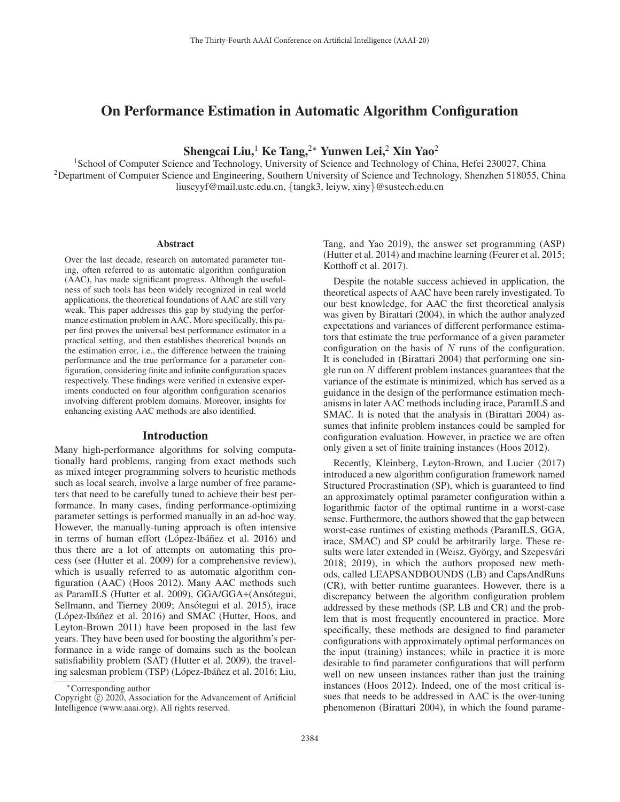# On Performance Estimation in Automatic Algorithm Configuration

Shengcai Liu,<sup>1</sup> Ke Tang,<sup>2∗</sup> Yunwen Lei,<sup>2</sup> Xin Yao<sup>2</sup>

<sup>1</sup>School of Computer Science and Technology, University of Science and Technology of China, Hefei 230027, China <sup>2</sup>Department of Computer Science and Engineering, Southern University of Science and Technology, Shenzhen 518055, China liuscyyf@mail.ustc.edu.cn, {tangk3, leiyw, xiny}@sustech.edu.cn

### Abstract

Over the last decade, research on automated parameter tuning, often referred to as automatic algorithm configuration (AAC), has made significant progress. Although the usefulness of such tools has been widely recognized in real world applications, the theoretical foundations of AAC are still very weak. This paper addresses this gap by studying the performance estimation problem in AAC. More specifically, this paper first proves the universal best performance estimator in a practical setting, and then establishes theoretical bounds on the estimation error, i.e., the difference between the training performance and the true performance for a parameter configuration, considering finite and infinite configuration spaces respectively. These findings were verified in extensive experiments conducted on four algorithm configuration scenarios involving different problem domains. Moreover, insights for enhancing existing AAC methods are also identified.

### Introduction

Many high-performance algorithms for solving computationally hard problems, ranging from exact methods such as mixed integer programming solvers to heuristic methods such as local search, involve a large number of free parameters that need to be carefully tuned to achieve their best performance. In many cases, finding performance-optimizing parameter settings is performed manually in an ad-hoc way. However, the manually-tuning approach is often intensive in terms of human effort (López-Ibáñez et al. 2016) and thus there are a lot of attempts on automating this process (see (Hutter et al. 2009) for a comprehensive review), which is usually referred to as automatic algorithm configuration (AAC) (Hoos 2012). Many AAC methods such as ParamILS (Hutter et al. 2009), GGA/GGA+(Ansótegui, Sellmann, and Tierney 2009; Ansótegui et al. 2015), irace (López-Ibáñez et al. 2016) and SMAC (Hutter, Hoos, and Leyton-Brown 2011) have been proposed in the last few years. They have been used for boosting the algorithm's performance in a wide range of domains such as the boolean satisfiability problem (SAT) (Hutter et al. 2009), the traveling salesman problem (TSP) (López-Ibáñez et al. 2016; Liu, Tang, and Yao 2019), the answer set programming (ASP) (Hutter et al. 2014) and machine learning (Feurer et al. 2015; Kotthoff et al. 2017).

Despite the notable success achieved in application, the theoretical aspects of AAC have been rarely investigated. To our best knowledge, for AAC the first theoretical analysis was given by Birattari (2004), in which the author analyzed expectations and variances of different performance estimators that estimate the true performance of a given parameter configuration on the basis of  $N$  runs of the configuration. It is concluded in (Birattari 2004) that performing one single run on N different problem instances guarantees that the variance of the estimate is minimized, which has served as a guidance in the design of the performance estimation mechanisms in later AAC methods including irace, ParamILS and SMAC. It is noted that the analysis in (Birattari 2004) assumes that infinite problem instances could be sampled for configuration evaluation. However, in practice we are often only given a set of finite training instances (Hoos 2012).

Recently, Kleinberg, Leyton-Brown, and Lucier (2017) introduced a new algorithm configuration framework named Structured Procrastination (SP), which is guaranteed to find an approximately optimal parameter configuration within a logarithmic factor of the optimal runtime in a worst-case sense. Furthermore, the authors showed that the gap between worst-case runtimes of existing methods (ParamILS, GGA, irace, SMAC) and SP could be arbitrarily large. These results were later extended in (Weisz, György, and Szepesvári 2018; 2019), in which the authors proposed new methods, called LEAPSANDBOUNDS (LB) and CapsAndRuns (CR), with better runtime guarantees. However, there is a discrepancy between the algorithm configuration problem addressed by these methods (SP, LB and CR) and the problem that is most frequently encountered in practice. More specifically, these methods are designed to find parameter configurations with approximately optimal performances on the input (training) instances; while in practice it is more desirable to find parameter configurations that will perform well on new unseen instances rather than just the training instances (Hoos 2012). Indeed, one of the most critical issues that needs to be addressed in AAC is the over-tuning phenomenon (Birattari 2004), in which the found parame-

<sup>∗</sup>Corresponding author

Copyright  $\odot$  2020, Association for the Advancement of Artificial Intelligence (www.aaai.org). All rights reserved.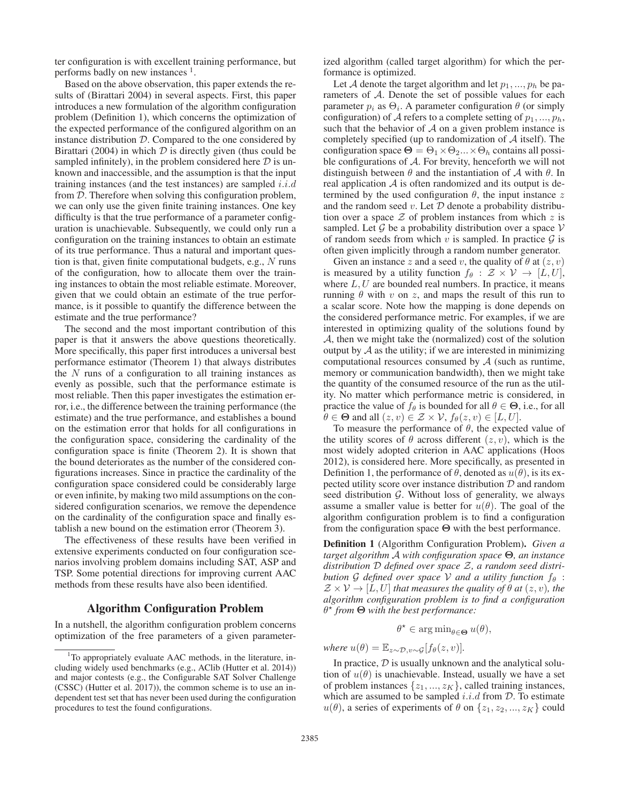ter configuration is with excellent training performance, but performs badly on new instances  $<sup>1</sup>$ .</sup>

Based on the above observation, this paper extends the results of (Birattari 2004) in several aspects. First, this paper introduces a new formulation of the algorithm configuration problem (Definition 1), which concerns the optimization of the expected performance of the configured algorithm on an instance distribution  $D$ . Compared to the one considered by Birattari (2004) in which  $D$  is directly given (thus could be sampled infinitely), in the problem considered here  $D$  is unknown and inaccessible, and the assumption is that the input training instances (and the test instances) are sampled  $i.i.d$ from D. Therefore when solving this configuration problem, we can only use the given finite training instances. One key difficulty is that the true performance of a parameter configuration is unachievable. Subsequently, we could only run a configuration on the training instances to obtain an estimate of its true performance. Thus a natural and important question is that, given finite computational budgets, e.g., N runs of the configuration, how to allocate them over the training instances to obtain the most reliable estimate. Moreover, given that we could obtain an estimate of the true performance, is it possible to quantify the difference between the estimate and the true performance?

The second and the most important contribution of this paper is that it answers the above questions theoretically. More specifically, this paper first introduces a universal best performance estimator (Theorem 1) that always distributes the  $N$  runs of a configuration to all training instances as evenly as possible, such that the performance estimate is most reliable. Then this paper investigates the estimation error, i.e., the difference between the training performance (the estimate) and the true performance, and establishes a bound on the estimation error that holds for all configurations in the configuration space, considering the cardinality of the configuration space is finite (Theorem 2). It is shown that the bound deteriorates as the number of the considered configurations increases. Since in practice the cardinality of the configuration space considered could be considerably large or even infinite, by making two mild assumptions on the considered configuration scenarios, we remove the dependence on the cardinality of the configuration space and finally establish a new bound on the estimation error (Theorem 3).

The effectiveness of these results have been verified in extensive experiments conducted on four configuration scenarios involving problem domains including SAT, ASP and TSP. Some potential directions for improving current AAC methods from these results have also been identified.

## Algorithm Configuration Problem

In a nutshell, the algorithm configuration problem concerns optimization of the free parameters of a given parameterized algorithm (called target algorithm) for which the performance is optimized.

Let A denote the target algorithm and let  $p_1, ..., p_h$  be parameters of A. Denote the set of possible values for each parameter  $p_i$  as  $\Theta_i$ . A parameter configuration  $\theta$  (or simply configuration) of A refers to a complete setting of  $p_1, ..., p_h$ , such that the behavior of  $A$  on a given problem instance is completely specified (up to randomization of  $A$  itself). The configuration space  $\Theta = \Theta_1 \times \Theta_2 ... \times \Theta_h$  contains all possible configurations of  $A$ . For brevity, henceforth we will not distinguish between  $\theta$  and the instantiation of  $\mathcal A$  with  $\theta$ . In real application  $A$  is often randomized and its output is determined by the used configuration  $\theta$ , the input instance z and the random seed  $v$ . Let  $D$  denote a probability distribution over a space  $Z$  of problem instances from which  $z$  is sampled. Let  $G$  be a probability distribution over a space  $V$ of random seeds from which  $v$  is sampled. In practice  $\mathcal G$  is often given implicitly through a random number generator.

Given an instance z and a seed v, the quality of  $\theta$  at  $(z, v)$ is measured by a utility function  $f_{\theta}$  :  $\mathcal{Z} \times \mathcal{V} \rightarrow [L, U],$ where  $L, U$  are bounded real numbers. In practice, it means running  $\theta$  with  $v$  on  $z$ , and maps the result of this run to a scalar score. Note how the mapping is done depends on the considered performance metric. For examples, if we are interested in optimizing quality of the solutions found by A, then we might take the (normalized) cost of the solution output by  $A$  as the utility; if we are interested in minimizing computational resources consumed by  $A$  (such as runtime, memory or communication bandwidth), then we might take the quantity of the consumed resource of the run as the utility. No matter which performance metric is considered, in practice the value of  $f_\theta$  is bounded for all  $\theta \in \Theta$ , i.e., for all  $\theta \in \Theta$  and all  $(z, v) \in \mathcal{Z} \times \mathcal{V}$ ,  $f_{\theta}(z, v) \in [L, U]$ .

To measure the performance of  $\theta$ , the expected value of the utility scores of  $\theta$  across different  $(z, v)$ , which is the most widely adopted criterion in AAC applications (Hoos 2012), is considered here. More specifically, as presented in Definition 1, the performance of  $\theta$ , denoted as  $u(\theta)$ , is its expected utility score over instance distribution  $D$  and random seed distribution  $G$ . Without loss of generality, we always assume a smaller value is better for  $u(\theta)$ . The goal of the algorithm configuration problem is to find a configuration from the configuration space **Θ** with the best performance.

Definition 1 (Algorithm Configuration Problem). *Given a target algorithm* A *with configuration space* **Θ***, an instance distribution* D *defined over space* Z*, a random seed distribution* G *defined over space* V *and a utility function*  $f_{\theta}$  :  $\mathcal{Z} \times \mathcal{V} \rightarrow [L, U]$  *that measures the quality of*  $\theta$  *at*  $(z, v)$ *, the algorithm configuration problem is to find a configuration* θ *from* **Θ** *with the best performance:*

# $\theta^* \in \arg\min_{\theta \in \Theta} u(\theta),$

*where*  $u(\theta) = \mathbb{E}_{z \sim \mathcal{D}, v \sim \mathcal{G}}[f_{\theta}(z, v)].$ 

In practice,  $D$  is usually unknown and the analytical solution of  $u(\theta)$  is unachievable. Instead, usually we have a set of problem instances  $\{z_1, ..., z_K\}$ , called training instances, which are assumed to be sampled  $i.i.d$  from  $D$ . To estimate  $u(\theta)$ , a series of experiments of  $\theta$  on  $\{z_1, z_2, ..., z_K\}$  could

<sup>&</sup>lt;sup>1</sup>To appropriately evaluate AAC methods, in the literature, including widely used benchmarks (e.g., AClib (Hutter et al. 2014)) and major contests (e.g., the Configurable SAT Solver Challenge (CSSC) (Hutter et al. 2017)), the common scheme is to use an independent test set that has never been used during the configuration procedures to test the found configurations.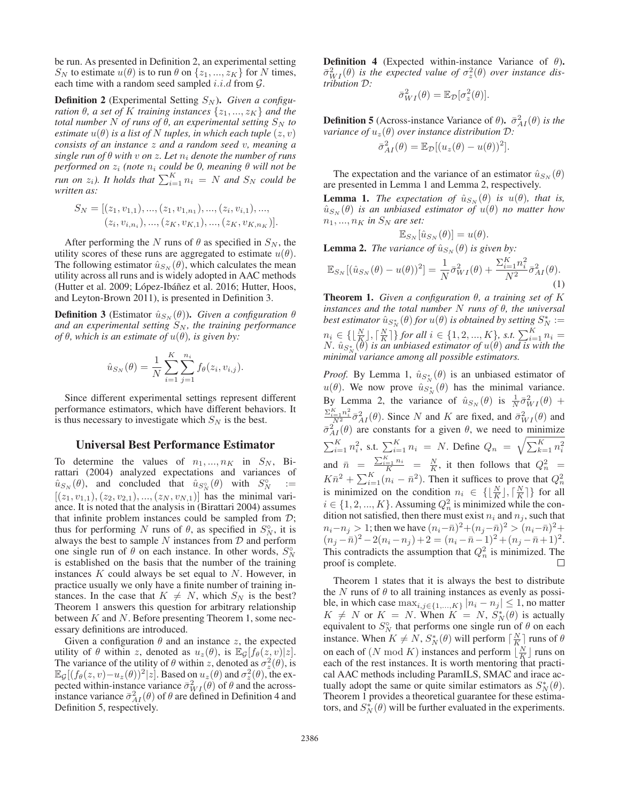be run. As presented in Definition 2, an experimental setting  $S_N$  to estimate  $u(\theta)$  is to run  $\theta$  on  $\{z_1, ..., z_K\}$  for N times, each time with a random seed sampled  $i.i.d$  from  $G$ .

**Definition 2** (Experimental Setting  $S_N$ ). *Given a configuration*  $\theta$ *, a set of* K *training instances*  $\{z_1, ..., z_K\}$  *and the total number* N *of runs of*  $\theta$ *, an experimental setting*  $S_N$  *to estimate*  $u(\theta)$  *is a list of* N *tuples, in which each tuple*  $(z, v)$ *consists of an instance* z *and a random seed* v*, meaning a single run of*  $\theta$  *with*  $v$  *on*  $z$ *. Let*  $n_i$  *denote the number of runs performed on* z<sup>i</sup> *(note* n<sup>i</sup> *could be 0, meaning* θ *will not be run on*  $z_i$ ). It holds that  $\sum_{i=1}^{K} n_i = N$  and  $S_N$  could be *written as:*

$$
S_N = [(z_1, v_{1,1}), ..., (z_1, v_{1,n_1}), ..., (z_i, v_{i,1}), ..., (z_i, v_{i,n_i}), ..., (z_K, v_{K,1}), ..., (z_K, v_{K,n_K})].
$$

After performing the N runs of  $\theta$  as specified in  $S_N$ , the utility scores of these runs are aggregated to estimate  $u(\theta)$ . The following estimator  $\hat{u}_{S_N}(\theta)$ , which calculates the mean utility across all runs and is widely adopted in AAC methods (Hutter et al. 2009; López-Ibáñez et al. 2016; Hutter, Hoos, and Leyton-Brown 2011), is presented in Definition 3.

**Definition 3** (Estimator  $\hat{u}_{S_N}(\theta)$ ). *Given a configuration*  $\theta$ *and an experimental setting*  $S_N$ *, the training performance of*  $\theta$ *, which is an estimate of*  $u(\theta)$ *, is given by:* 

$$
\hat{u}_{S_N}(\theta) = \frac{1}{N} \sum_{i=1}^K \sum_{j=1}^{n_i} f_{\theta}(z_i, v_{i,j}).
$$

Since different experimental settings represent different performance estimators, which have different behaviors. It is thus necessary to investigate which  $S_N$  is the best.

## Universal Best Performance Estimator

To determine the values of  $n_1, ..., n_K$  in  $S_N$ , Birattari (2004) analyzed expectations and variances of  $\hat{u}_{S_N}(\theta)$ , and concluded that  $\hat{u}_{S_N^{\circ}}(\theta)$  with  $S_N^{\circ}$  $:=$  $[(z_1, v_{1,1}), (z_2, v_{2,1}), ..., (z_N, v_{N,1})]$  has the minimal variance. It is noted that the analysis in (Birattari 2004) assumes that infinite problem instances could be sampled from  $D$ ; thus for performing N runs of  $\theta$ , as specified in  $S_N^{\circ}$ , it is always the best to sample  $N$  instances from  $D$  and perform one single run of  $\theta$  on each instance. In other words,  $S_N^{\circ}$ is established on the basis that the number of the training instances  $K$  could always be set equal to  $N$ . However, in practice usually we only have a finite number of training instances. In the case that  $K \neq N$ , which  $S_N$  is the best? Theorem 1 answers this question for arbitrary relationship between  $K$  and  $N$ . Before presenting Theorem 1, some necessary definitions are introduced.

Given a configuration  $\theta$  and an instance z, the expected utility of  $\theta$  within z, denoted as  $u_z(\theta)$ , is  $\mathbb{E}_G[f_\theta(z, v)|z]$ . The variance of the utility of  $\theta$  within z, denoted as  $\sigma_z^2(\theta)$ , is  $\mathbb{E}_{\mathcal{G}}[(f_{\theta}(z,v)-u_z(\theta))^2|z]$ . Based on  $u_z(\theta)$  and  $\sigma_z(\theta)$ , the expected within-instance variance  $\bar{\sigma}_{WI}^2(\theta)$  of  $\theta$  and the acrossinstance variance  $\bar{\sigma}_{AI}^2(\theta)$  of  $\theta$  are defined in Definition 4 and Definition 5, respectively.

**Definition 4** (Expected within-instance Variance of  $\theta$ ).  $\bar{\sigma}_{WI}^2(\theta)$  is the expected value of  $\sigma_z^2(\theta)$  over instance dis*tribution* D*:*

$$
\bar{\sigma}_{WI}^2(\theta) = \mathbb{E}_{\mathcal{D}}[\sigma_z^2(\theta)].
$$

**Definition 5** (Across-instance Variance of  $\theta$ ).  $\bar{\sigma}_{AI}^2(\theta)$  *is the variance of*  $u_z(\theta)$  *over instance distribution*  $D$ *:* 

$$
\bar{\sigma}_{AI}^{2}(\theta) = \mathbb{E}_{\mathcal{D}}[(u_{z}(\theta) - u(\theta))^{2}].
$$

The expectation and the variance of an estimator  $\hat{u}_{S_N}(\theta)$ are presented in Lemma 1 and Lemma 2, respectively.

**Lemma 1.** *The expectation of*  $\hat{u}_{S_N}(\theta)$  *is*  $u(\theta)$ *, that is,*  $\hat{u}_{S_N}(\theta)$  *is an unbiased estimator of*  $u(\theta)$  *no matter how*  $n_1, ..., n_K$  in  $S_N$  are set:

**Lemma 2.** The variance of 
$$
\hat{u}_{S_N}(\theta) = u(\theta)
$$
.  
\n**Lemma 2.** The variance of  $\hat{u}_{S_N}(\theta)$  is given by:  
\n
$$
\mathbb{E}_{S_N}[(\hat{u}_{S_N}(\theta) - u(\theta))^2] = \frac{1}{N} \bar{\sigma}_{WI}^2(\theta) + \frac{\sum_{i=1}^K n_i^2}{N^2} \bar{\sigma}_{AI}^2(\theta).
$$

(1)

**Theorem 1.** *Given a configuration*  $\theta$ *, a training set of* K *instances and the total number* N *runs of* θ*, the universal* best estimator  $\hat{u}_{S_N^*}(\theta)$  *for*  $u(\theta)$  *is obtained by setting*  $S_N^*$   $:=$  $n_i \in \{ \lfloor \frac{N}{K} \rfloor, \lceil \frac{N}{K} \rceil \}$  for all  $i \in \{1, 2, ..., K\}$ , s.t.  $\sum_{i=1}^{K} n_i =$  $N.$   $\hat{u}_{S_N^*}(\theta)$  is an unbiased estimator of  $u(\theta)$  and is with the *minimal variance among all possible estimators.*

*Proof.* By Lemma 1,  $\hat{u}_{S_N^*}(\theta)$  is an unbiased estimator of  $u(\theta)$ . We now prove  $\hat{u}_{S_N^*}(\theta)$  has the minimal variance. By Lemma 2, the variance of  $\hat{u}_{S_N}(\theta)$  is  $\frac{1}{N}\bar{\sigma}_{WI}^2(\theta)$  +  $\frac{\sum_{i=1}^{K} n_i^2}{N^2} \bar{\sigma}_{AI}^2(\theta)$ . Since N and K are fixed, and  $\bar{\sigma}_{WI}^2(\theta)$  and  $\bar{\sigma}_{AI}^2(\theta)$  are constants for a given  $\theta$ , we need to minimize  $\sum_{i=1}^{K} n_i^2$ , s.t.  $\sum_{i=1}^{K} n_i = N$ . Define  $Q_n = \sqrt{\sum_{k=1}^{K} n_i^2}$ and  $\bar{n} = \frac{\sum_{i=1}^{K} n_i}{K} = \frac{N}{K}$ , it then follows that  $Q_n^2$  $K \bar{n}^2 + \sum_{i=1}^{K} (n_i - \bar{n}^2)$ . Then it suffices to prove that  $Q_n^2$ is minimized on the condition  $n_i \in \{\lfloor \frac{N}{K} \rfloor, \lceil \frac{N}{K} \rceil\}$  for all  $i \in \{1, 2, ..., K\}$ . Assuming  $Q_n^2$  is minimized while the condition not satisfied, then there must exist  $n_i$  and  $n_j$ , such that  $n_i-n_j > 1$ ; then we have  $(n_i-\bar{n})^2 + (n_j-\bar{n})^2 > (n_i-\bar{n})^2 +$  $(n_j - \bar{n})^2 - 2(n_i - n_j) + 2 = (n_i - \bar{n} - 1)^2 + (n_j - \bar{n} + 1)^2.$ This contradicts the assumption that  $Q_n^2$  is minimized. The proof is complete. П

Theorem 1 states that it is always the best to distribute the N runs of  $\theta$  to all training instances as evenly as possible, in which case  $\max_{i,j \in \{1,...,K\}} |n_i - n_j| \leq 1$ , no matter  $K \neq N$  or  $K = N$ . When  $K = N$ ,  $S_N^*(\theta)$  is actually equivalent to  $S_N^{\circ}$  that performs one single run of  $\theta$  on each instance. When  $K \neq N$ ,  $S_N^*(\theta)$  will perform  $\lceil \frac{N}{K} \rceil$  runs of  $\theta$ on each of  $(N \mod K)$  instances and perform  $\lfloor \frac{N}{K} \rfloor$  runs on each of the rest instances. It is worth mentoring that practical AAC methods including ParamILS, SMAC and irace actually adopt the same or quite similar estimators as  $S_N^*(\theta)$ . Theorem 1 provides a theoretical guarantee for these estimators, and  $S_N^*(\theta)$  will be further evaluated in the experiments.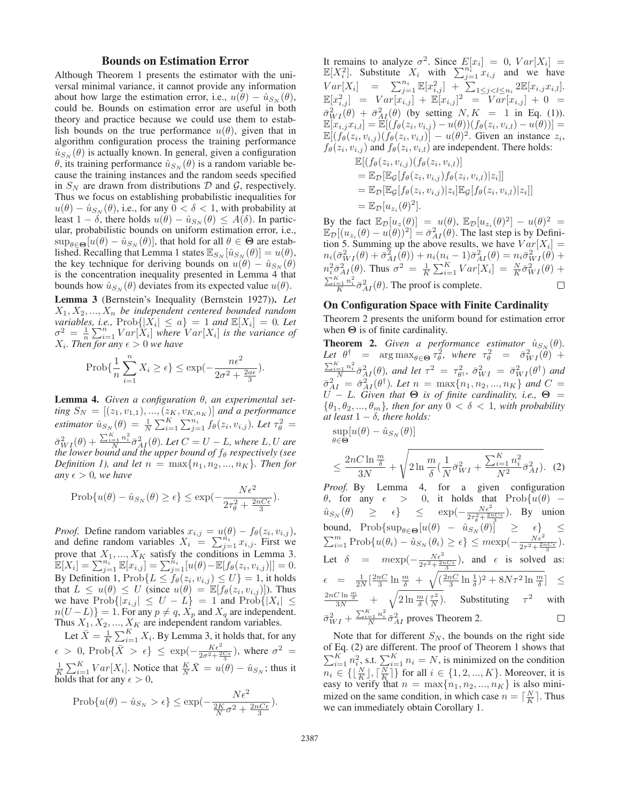## Bounds on Estimation Error

Although Theorem 1 presents the estimator with the universal minimal variance, it cannot provide any information about how large the estimation error, i.e.,  $u(\theta) - \hat{u}_{S_N}(\theta)$ , could be. Bounds on estimation error are useful in both theory and practice because we could use them to establish bounds on the true performance  $u(\theta)$ , given that in algorithm configuration process the training performance  $\hat{u}_{S_N}(\theta)$  is actually known. In general, given a configuration θ, its training performance  $\hat{u}_{S_N}(\theta)$  is a random variable because the training instances and the random seeds specified in  $S_N$  are drawn from distributions D and G, respectively. Thus we focus on establishing probabilistic inequalities for  $u(\theta) - \hat{u}_{S_N}(\theta)$ , i.e., for any  $0 < \delta < 1$ , with probability at least  $1 - \delta$ , there holds  $u(\theta) - \hat{u}_{S_N}(\theta) \leq A(\delta)$ . In particular, probabilistic bounds on uniform estimation error, i.e.,  $\sup_{\theta \in \Theta} [u(\theta) - \hat{u}_{S_N}(\theta)]$ , that hold for all  $\theta \in \Theta$  are established. Recalling that Lemma 1 states  $\mathbb{E}_{S_N}[\hat{u}_{S_N}(\theta)] = u(\theta)$ , the key technique for deriving bounds on  $u(\theta) - \hat{u}_{S_N}(\theta)$ is the concentration inequality presented in Lemma 4 that bounds how  $\hat{u}_{S_N}(\theta)$  deviates from its expected value  $u(\theta)$ .

Lemma 3 (Bernstein's Inequality (Bernstein 1927)). *Let*  $X_1, X_2, ..., X_n$  be independent centered bounded random *variables, i.e.,*  $\text{Prob}\{|X_i| \leq a\} = 1$  *and*  $\mathbb{E}[X_i] = 0$ *. Let*  $\sigma^2 = \frac{1}{n} \sum_{i=1}^n Var[X_i]$  *where*  $Var[X_i]$  *is the variance of*  $X_i$ *. Then for any*  $\epsilon > 0$  *we have* 

$$
\text{Prob}\{\frac{1}{n}\sum_{i=1}^n X_i \ge \epsilon\} \le \exp(-\frac{n\epsilon^2}{2\sigma^2 + \frac{2a\epsilon}{3}}).
$$

Lemma 4. *Given a configuration* θ*, an experimental setting*  $S_N = [(z_1, v_{1,1}), ..., (z_K, v_{K,n_K})]$  *and a performance estimator*  $\hat{u}_{S_N}(\theta) = \frac{1}{N} \sum_{i=1}^K \sum_{j=1}^{n_i} f_{\theta}(z_i, v_{i,j})$ *. Let*  $\tau_{\theta}^2 =$  $\bar{\sigma}_{WI}^2(\theta) + \frac{\sum_{i=1}^K n_i^2}{N} \bar{\sigma}_{AI}^2(\theta)$ . Let  $C = U - L$ , where L, U are *the lower bound and the upper bound of*  $f_\theta$  *respectively (see Definition 1), and let*  $n = \max\{n_1, n_2, ..., n_K\}$ *. Then for any*  $\epsilon > 0$ *, we have* 

$$
\text{Prob}\{u(\theta) - \hat{u}_{S_N}(\theta) \ge \epsilon\} \le \exp\left(-\frac{N\epsilon^2}{2\tau_\theta^2 + \frac{2nC\epsilon}{3}}\right).
$$

*Proof.* Define random variables  $x_{i,j} = u(\theta) - f_{\theta}(z_i, v_{i,j}),$ and define random variables  $X_i = \sum_{j=1}^{n_i} x_{i,j}$ . First we prove that  $X_1, ..., X_K$  satisfy the conditions in Lemma 3.  $\mathbb{E}[X_i] = \sum_{j=1}^{n_i^{-1}} \mathbb{E}[x_{i,j}] = \sum_{j=1}^{n_i} [u(\theta) - \mathbb{E}[f_{\theta}(z_i, v_{i,j})]] = 0.$ By Definition 1,  $\text{Prob}\{L \leq f_{\theta}(z_i, v_{i,j}) \leq U\} = 1$ , it holds that  $L \leq u(\theta) \leq U$  (since  $u(\theta) = \mathbb{E}[f_{\theta}(z_i, v_{i,j})]$ ). Thus we have  $\text{Prob}\{|x_{i,j}| \leq U - L\} = 1$  and  $\text{Prob}\{|X_i| \leq$  $n(U - L)$ } = 1. For any  $p \neq q$ ,  $X_p$  and  $X_q$  are independent. Thus  $X_1, X_2, ..., X_K$  are independent random variables.

Let  $\bar{X} = \frac{1}{K} \sum_{i=1}^{K} X_i$ . By Lemma 3, it holds that, for any  $\epsilon > 0$ , Prob $\{\bar{X} > \epsilon\} \leq \exp(-\frac{K\epsilon^2}{2\sigma^2 + \frac{2C\epsilon}{3}})$ , where  $\sigma^2 =$  $\frac{1}{K} \sum_{i=1}^{K} Var[X_i]$ . Notice that  $\frac{K}{N} \overline{X} = u(\theta) - \hat{u}_{S_N}$ ; thus it holds that for any  $\epsilon > 0$ ,

$$
\text{Prob}\{u(\theta) - \hat{u}_{S_N} > \epsilon\} \le \exp\left(-\frac{N\epsilon^2}{\frac{2K}{N}\sigma^2 + \frac{2nC\epsilon}{3}}\right).
$$

It remains to analyze  $\sigma^2$ . Since  $E[x_i]=0$ ,  $Var[X_i] =$  $\mathbb{E}[X_i^2]$ . Substitute  $X_i$  with  $\sum_{j=1}^{n_i} x_{i,j}$  and we have  $Var[X_i] = \sum_{j=1}^{n_i} \mathbb{E}[x_{i,j}^2] + \sum_{1 \leq j < l \leq n_i} 2 \mathbb{E}[x_{i,j}x_{i,l}].$  $\mathbb{E}[x_{i,j}^2] = Var[x_{i,j}] + \mathbb{E}[x_{i,j}]^2 = Var[x_{i,j}] + 0 =$  $\bar{\sigma}_{WI}^2(\theta) + \bar{\sigma}_{AI}^2(\theta)$  (by setting  $N, K = 1$  in Eq. (1)).  $\mathbb{E}[x_{i,j}x_{i,l}] = \mathbb{E}[(f_{\theta}(z_i, v_{i,j}) - u(\theta))(f_{\theta}(z_i, v_{i,l}) - u(\theta))] =$  $\mathbb{E}[(f_{\theta}(z_i, v_{i,j}) (f_{\theta}(z_i, v_{i,l})) - u(\theta)^2]$ . Given an instance  $z_i$ ,  $f_{\theta}(z_i, v_{i,j})$  and  $f_{\theta}(z_i, v_{i,l})$  are independent. There holds:  $\mathbb{E}[(f_{\theta}(z_i,y_{i,j})) (f_{\theta}(z_i,y_{i,j}))]$ 

$$
\mathbb{E}[(\mathbf{y}_{\theta}(z_i, v_{i,j})(\mathbf{y}_{\theta}(z_i, v_{i,l}))]
$$
\n
$$
= \mathbb{E}_{\mathcal{D}}[\mathbb{E}_{\mathcal{G}}[f_{\theta}(z_i, v_{i,j})f_{\theta}(z_i, v_{i,l})|z_i]]
$$
\n
$$
= \mathbb{E}_{\mathcal{D}}[\mathbb{E}_{\mathcal{G}}[f_{\theta}(z_i, v_{i,j})|z_i]\mathbb{E}_{\mathcal{G}}[f_{\theta}(z_i, v_{i,l})|z_i]]
$$
\n
$$
= \mathbb{E}_{\mathcal{D}}[u_{z_i}(\theta)^2].
$$

By the fact  $\mathbb{E}_{\mathcal{D}}[u_z(\theta)] = u(\theta)$ ,  $\mathbb{E}_{\mathcal{D}}[u_{z_i}(\theta)^2] - u(\theta)^2 =$  $\mathbb{E}_{\mathcal{D}}[(u_{z_i}(\theta) - u(\theta))^2] = \bar{\sigma}_{AI}^2(\theta)$ . The last step is by Definition 5. Summing up the above results, we have  $Var[X_i] =$  $n_i(\bar{\sigma}_{WI}^2(\theta)+\bar{\sigma}_{AI}^2(\theta))+n_i(n_i-1)\bar{\sigma}_{AI}^2(\theta)=n_i\bar{\sigma}_{WI}^2(\theta)+$  $m_i^2 \bar{\sigma}_{AI}^2(\theta)$ . Thus  $\sigma^2 = \frac{1}{K} \sum_{i=1}^K Var[X_i] = \frac{N}{K} \bar{\sigma}_{WI}^2(\theta) +$  $\frac{\sum_{i=1}^{K} n_i^2}{K} \bar{\sigma}_{AI}^2(\theta)$ . The proof is complete.  $\Box$ 

## On Configuration Space with Finite Cardinality

Theorem 2 presents the uniform bound for estimation error when **Θ** is of finite cardinality.

**Theorem 2.** *Given a performance estimator*  $\hat{u}_{S_N}(\theta)$ *.* Let  $\theta^{\dagger}$  =  $\arg \max_{\theta \in \Theta} \tau_{\theta}^2$ , where  $\tau_{\theta}^2$  =  $\bar{\sigma}_{WI}^2(\theta)$  +  $\frac{\sum_{i=1}^K n_i^2}{N} \bar{\sigma}_{AI}^2(\theta)$ *, and let*  $\tau^2 = \tau_{\theta^{\dagger}}^2$ ,  $\bar{\sigma}_{WI}^2 = \bar{\sigma}_{WI}^2(\theta^{\dagger})$  *and*  $\bar{\sigma}_{AI}^{2} = \bar{\sigma}_{AI}^{2}(\theta^{\dagger})$ *. Let*  $n = \max\{n_{1}, n_{2}, ..., n_{K}\}$  and  $C =$  $U - L$ *. Given that*  $\Theta$  *is of finite cardinality, i.e.,*  $\Theta$  =  $\{\theta_1, \theta_2, ..., \theta_m\}$ , then for any  $0 < \delta < 1$ , with probability *at least*  $1 - \delta$ *, there holds:*  $\mathbb{L}\left( \rho \right) = \hat{\rho}$  (θ)]

$$
\sup_{\theta \in \Theta} [u(\theta) - \hat{u}_{S_N}(\theta)]
$$
\n
$$
\leq \frac{2nC \ln \frac{m}{\delta}}{3N} + \sqrt{2 \ln \frac{m}{\delta} (\frac{1}{N} \bar{\sigma}_{WI}^2 + \frac{\sum_{i=1}^{K} n_i^2}{N^2} \bar{\sigma}_{AI}^2)}.
$$

 $(2)$ 

*Proof.* By Lemma 4, for a given configuration θ, for any  $\epsilon$  > 0, it holds that Prob{u(θ) –  $\hat{u}_{S_N}(\theta) \geq \epsilon$   $\{\epsilon\} \leq \exp(-\frac{N\epsilon^2}{2\tau_\theta^2 + \frac{2nC\epsilon}{3}})$ . By union bound, Prob{ $\sup_{\theta \in \Theta} [u(\theta) - \hat{u}_{S_N}(\theta)] \geq \epsilon$ }  $\leq$  $\sum_{i=1}^{m} \text{Prob}\{u(\theta_i) - \hat{u}_{S_N}(\theta_i) \geq \epsilon\} \leq m \exp(-\frac{N\epsilon^2}{2\tau^2 + \frac{2nC\epsilon}{3}}).$ Let  $\delta$  =  $m \exp(-\frac{N\epsilon^2}{2\tau^2 + \frac{2\pi C\epsilon}{3}})$ , and  $\epsilon$  is solved as:  $\epsilon = \frac{1}{2N} \left[ \frac{2nC}{3} \ln \frac{m}{\delta} + \sqrt{(\frac{2nC}{3} \ln \frac{1}{\delta})^2 + 8N\tau^2 \ln \frac{m}{\delta}} \right] \leq$  $rac{2nC \ln \frac{m}{\delta}}{3N}$  +  $\sqrt{2 \ln \frac{m}{\delta} (\frac{\tau^2}{N})}$ . Substituting  $\tau^2$  with  $\bar{\sigma}_{WI}^2 + \frac{\sum_{i=1}^{K} n_i^2}{N} \bar{\sigma}_{AI}^2$  proves Theorem 2.  $\Box$ 

Note that for different  $S_N$ , the bounds on the right side of Eq. (2) are different. The proof of Theorem 1 shows that  $\sum_{i=1}^{K} n_i^2$ , s.t.  $\sum_{i=1}^{K} n_i = N$ , is minimized on the condition  $n_i \in \{\lfloor \frac{N}{K} \rfloor, \lceil \frac{N}{K} \rceil\}$  for all  $i \in \{1, 2, ..., K\}$ . Moreover, it is easy to verify that  $n = \max\{n_1, n_2, ..., n_K\}$  is also minimized on the same condition, in which case  $n = \lceil \frac{N}{K} \rceil$ . Thus we can immediately obtain Corollary 1.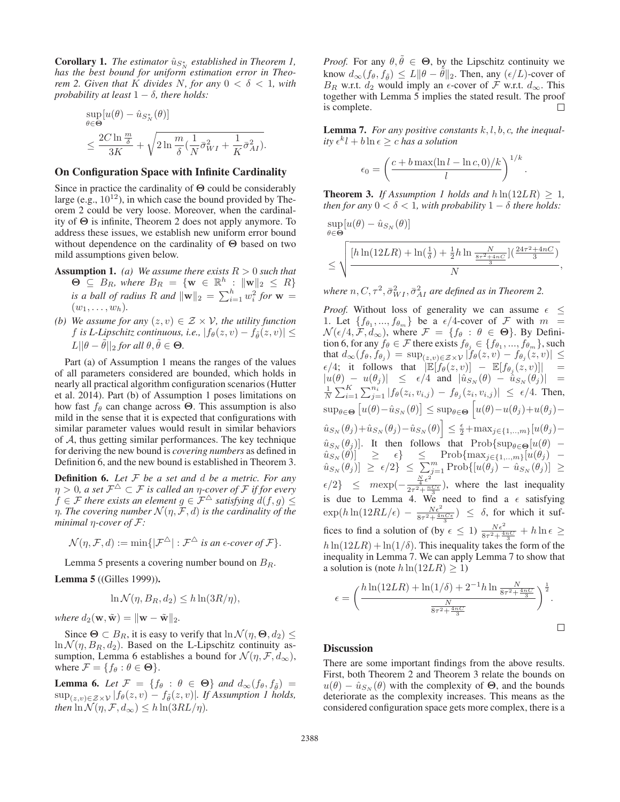**Corollary 1.** *The estimator*  $\hat{u}_{S_N^*}$  *established in Theorem 1, has the best bound for uniform estimation error in Theorem 2. Given that* K *divides N, for any*  $0 < \delta < 1$ *, with probability at least*  $1 - \delta$ *, there holds:* 

$$
\sup_{\theta \in \Theta} [u(\theta) - \hat{u}_{S_N^*}(\theta)]
$$
  

$$
\leq \frac{2C \ln \frac{m}{\delta}}{3K} + \sqrt{2 \ln \frac{m}{\delta} (\frac{1}{N} \bar{\sigma}_{WI}^2 + \frac{1}{K} \bar{\sigma}_{AI}^2)}.
$$

## On Configuration Space with Infinite Cardinality

Since in practice the cardinality of **Θ** could be considerably large (e.g.,  $10^{12}$ ), in which case the bound provided by Theorem 2 could be very loose. Moreover, when the cardinality of **Θ** is infinite, Theorem 2 does not apply anymore. To address these issues, we establish new uniform error bound without dependence on the cardinality of **Θ** based on two mild assumptions given below.

- **Assumption 1.** *(a)* We assume there exists  $R > 0$  such that  $\Theta$   $\subseteq$   $B_R$ *, where*  $B_R$  = {**w**  $\in \mathbb{R}^h$  :  $\|\mathbf{w}\|_2 \leq R$ } *is a ball of radius* R *and*  $\|\mathbf{w}\|_2 = \sum_{i=1}^h w_i^2$  for  $\mathbf{w} =$  $(w_1, \ldots, w_h)$ .
- *(b)* We assume for any  $(z, v) \in \mathcal{Z} \times \mathcal{V}$ , the utility function f is L-Lipschitz continuous, i.e.,  $|f_{\theta}(z, v) - f_{\tilde{\theta}}(z, v)| \le$  $L||\theta - \tilde{\theta}||_2$  *for all*  $\theta, \tilde{\theta} \in \Theta$ *.*

Part (a) of Assumption 1 means the ranges of the values of all parameters considered are bounded, which holds in nearly all practical algorithm configuration scenarios (Hutter et al. 2014). Part (b) of Assumption 1 poses limitations on how fast  $f_\theta$  can change across  $\Theta$ . This assumption is also mild in the sense that it is expected that configurations with similar parameter values would result in similar behaviors of  $A$ , thus getting similar performances. The key technique for deriving the new bound is *covering numbers* as defined in Definition 6, and the new bound is established in Theorem 3.

Definition 6. *Let* F *be a set and* d *be a metric. For any*  $\eta > 0$ , a set  $\mathcal{F}^{\Delta} \subset \mathcal{F}$  is called an  $\eta$ -cover of  $\mathcal F$  *if for every*  $f \in \mathcal{F}$  *there exists an element*  $g \in \mathcal{F}^{\triangle}$  *satisfying*  $d(f,g) \leq$ *n*. The covering number  $\mathcal{N}(\eta, \mathcal{F}, d)$  *is the cardinality of the minimal* η*-cover of* F*:*

$$
\mathcal{N}(\eta, \mathcal{F}, d) := \min\{|\mathcal{F}^{\triangle}| : \mathcal{F}^{\triangle} \text{ is an } \epsilon\text{-cover of } \mathcal{F}\}.
$$

Lemma 5 presents a covering number bound on  $B_R$ .

Lemma 5 ((Gilles 1999)).

$$
\ln \mathcal{N}(\eta, B_R, d_2) \le h \ln(3R/\eta),
$$

*where*  $d_2(\mathbf{w}, \tilde{\mathbf{w}}) = ||\mathbf{w} - \tilde{\mathbf{w}}||_2$ .

Since  $\Theta \subset B_R$ , it is easy to verify that  $\ln \mathcal{N}(\eta, \Theta, d_2) \leq$  $\ln \mathcal{N}(\eta, B_R, d_2)$ . Based on the L-Lipschitz continuity assumption, Lemma 6 establishes a bound for  $\mathcal{N}(\eta, \mathcal{F}, d_{\infty}),$ where  $\mathcal{F} = \{f_{\theta} : \theta \in \Theta\}.$ 

**Lemma 6.** Let  $\mathcal{F} = \{f_{\theta} : \theta \in \Theta\}$  and  $d_{\infty}(f_{\theta}, f_{\tilde{\theta}})$  $\sup_{(z,v)\in\mathcal{Z}\times\mathcal{V}}|f_{\theta}(z,v)-f_{\tilde{\theta}}(z,v)|$ *. If Assumption 1 holds, then*  $\ln \mathcal{N}(\eta, \mathcal{F}, d_{\infty}) \leq h \ln(3RL/\eta)$ .

*Proof.* For any  $\theta, \tilde{\theta} \in \Theta$ , by the Lipschitz continuity we know  $d_{\infty}(f_{\theta}, f_{\tilde{\theta}}) \leq L \|\theta - \tilde{\theta}\|_2$ . Then, any  $(\epsilon/L)$ -cover of  $B_R$  w.r.t.  $d_2$  would imply an  $\epsilon$ -cover of  $\mathcal F$  w.r.t.  $d_{\infty}$ . This together with Lemma 5 implies the stated result. The proof  $\Box$ is complete.

Lemma 7. *For any positive constants* k, l, b, c*, the inequal* $itv \epsilon^{k} l + b \ln \epsilon > c$  *has a solution* 

$$
\epsilon_0 = \left(\frac{c + b \max(\ln l - \ln c, 0)/k}{l}\right)^{1/k}.
$$

**Theorem 3.** *If Assumption 1 holds and*  $h \ln(12LR) \geq 1$ , *then for any*  $0 < \delta < 1$ *, with probability*  $1 - \delta$  *there holds:* 

 $\sup[u(\theta) - \hat{u}_{S_N}(\theta)]$ θ∈**Θ**

$$
\leq \sqrt{\frac{\left[h\ln(12LR) + \ln(\frac{1}{\delta}) + \frac{1}{2}h\ln\frac{N}{8r^2 + 4nC}\right]\left(\frac{24r^2 + 4nC}{3}\right)}{N}},
$$

where  $n, C, \tau^2, \bar{\sigma}_{WI}^2, \bar{\sigma}_{AI}^2$  are defined as in Theorem 2.

*Proof.* Without loss of generality we can assume  $\epsilon \leq$ 1. Let  $\{f_{\theta_1},...,f_{\theta_m}\}\$  be a  $\epsilon/4$ -cover of F with  $m =$  $\mathcal{N}(\epsilon/4, \mathcal{F}, d_{\infty})$ , where  $\mathcal{F} = \{f_{\theta} : \theta \in \Theta\}$ . By Definition 6, for any  $f_{\theta} \in \mathcal{F}$  there exists  $f_{\theta_j} \in \{f_{\theta_1}, ..., f_{\theta_m}\}$ , such that  $d_{\infty}(f_{\theta}, f_{\theta_j}) = \sup_{(z,v) \in \mathcal{Z} \times \mathcal{V}} |f_{\theta}(z,v) - f_{\theta_j}(z,v)| \leq$  $\epsilon/4$ ; it follows that  $\mathbb{E}[f_{\theta}(z,v)] - \mathbb{E}[f_{\theta_j}(z,v)]$  =  $|u(\theta) - u(\theta_j)| \leq \epsilon/4$  and  $|\hat{u}_{S_N}(\theta) - \hat{u}_{S_N}(\theta_j)| =$  $\frac{1}{N} \sum_{i=1}^{K} \sum_{j=1}^{n_i} |f_{\theta}(z_i, v_{i,j}) - f_{\theta_j}(z_i, v_{i,j})| \leq \epsilon/4$ . Then,  $\sup_{\theta \in \Theta} [u(\theta) - \hat{u}_{S_N}(\theta)] \leq \sup_{\theta \in \Theta} [u(\theta) - u(\theta_j) + u(\theta_j) - \theta]$  $\left| \hat{u}_{S_N}(\theta_j) + \hat{u}_{S_N}(\theta_j) - \hat{u}_{S_N}(\theta) \right| \leq \frac{\epsilon}{2} + \max_{j \in \{1, \ldots, m\}} [u(\theta_j) - \hat{u}_{S_N}(\theta_j)]$  $\hat{u}_{S_N}(\theta_j)$ . It then follows that Prob{sup<sub> $\theta \in \Theta$ </sub>[u( $\theta$ ) –  $\hat{u}_{S_N}(\theta)$ ]  $\geq \epsilon$ }  $\leq$  Prob{max<sub>j∈{1,..,m}</sub>[ $u(\theta_j)$  –  $\hat{u}_{S_N}(\theta_j) \geq \epsilon/2 \} \leq \sum_{j=1}^m \text{Prob} \{ [u(\theta_j) - \hat{u}_{S_N}(\theta_j)] \geq$  $\epsilon/2$ }  $\leq$   $m \exp(-\frac{\frac{N}{4}\epsilon^2}{2\tau^2 + \frac{nC\epsilon}{3}})$ , where the last inequality is due to Lemma 4. We need to find a  $\epsilon$  satisfying  $\exp(h\ln(12RL/\epsilon) - \frac{N\epsilon^2}{8\tau^2 + \frac{4\pi C\epsilon}{3}}) \leq \delta$ , for which it suffices to find a solution of (by  $\epsilon \leq 1$ )  $\frac{N\epsilon^2}{8\tau^2 + \frac{4\pi C}{3}} + h \ln \epsilon \geq$  $h \ln(12LR) + \ln(1/\delta)$ . This inequality takes the form of the inequality in Lemma 7. We can apply Lemma 7 to show that a solution is (note  $h \ln(12LR) \geq 1$ )

$$
\epsilon = \left(\frac{h \ln(12LR) + \ln(1/\delta) + 2^{-1}h \ln \frac{N}{8\tau^2 + \frac{4nC}{3}}}{\frac{N}{8\tau^2 + \frac{4nC}{3}}}\right)^{\frac{1}{2}}.
$$

### **Discussion**

There are some important findings from the above results. First, both Theorem 2 and Theorem 3 relate the bounds on  $u(\theta) - \hat{u}_{S_N}(\theta)$  with the complexity of  $\Theta$ , and the bounds deteriorate as the complexity increases. This means as the considered configuration space gets more complex, there is a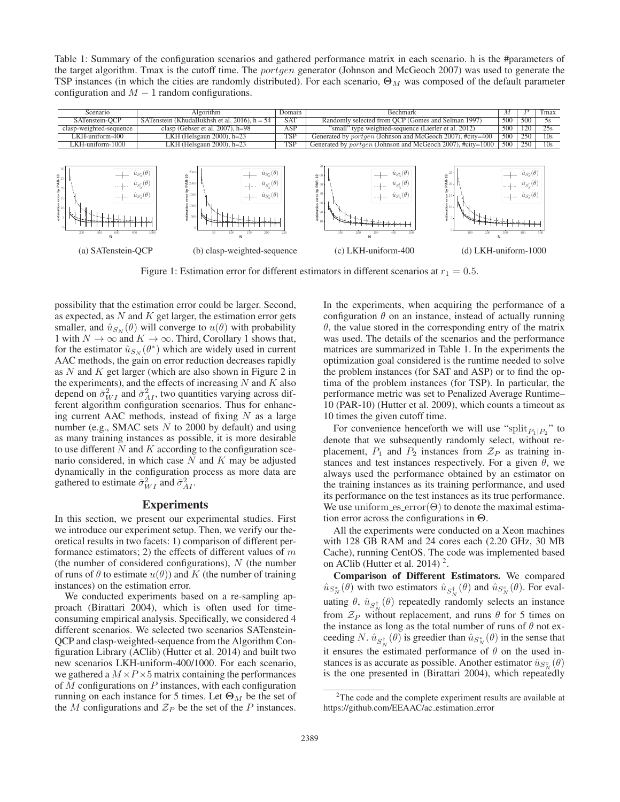Table 1: Summary of the configuration scenarios and gathered performance matrix in each scenario. h is the #parameters of the target algorithm. Tmax is the cutoff time. The *portgen* generator (Johnson and McGeoch 2007) was used to generate the TSP instances (in which the cities are randomly distributed). For each scenario, **Θ**<sub>M</sub> was composed of the default parameter configuration and  $M - 1$  random configurations.

| Scenario                                                                                                                                                  | Algorithm                                                                                                                                                                                                                                                                                                      | Domain     | Bechmark                                                                                                                                                                                                                                                          | М          |                                                                                                            | Tmax            |
|-----------------------------------------------------------------------------------------------------------------------------------------------------------|----------------------------------------------------------------------------------------------------------------------------------------------------------------------------------------------------------------------------------------------------------------------------------------------------------------|------------|-------------------------------------------------------------------------------------------------------------------------------------------------------------------------------------------------------------------------------------------------------------------|------------|------------------------------------------------------------------------------------------------------------|-----------------|
| SATenstein-OCP                                                                                                                                            | SATenstein (KhudaBukhsh et al. 2016), $h = 54$                                                                                                                                                                                                                                                                 | <b>SAT</b> | Randomly selected from OCP (Gomes and Selman 1997)                                                                                                                                                                                                                | 500        | 500                                                                                                        | 5s              |
| clasp-weighted-sequence                                                                                                                                   | clasp (Gebser et al. $2007$ ), $h=98$                                                                                                                                                                                                                                                                          | ASP        | "small" type weighted-sequence (Lierler et al. 2012)                                                                                                                                                                                                              | 500        | 120                                                                                                        | 25s             |
| LKH-uniform-400                                                                                                                                           | LKH (Helsgaun 2000), h=23                                                                                                                                                                                                                                                                                      | <b>TSP</b> | Generated by <i>portgen</i> (Johnson and McGeoch 2007), #city=400                                                                                                                                                                                                 | 500        | 250                                                                                                        | 10 <sub>s</sub> |
| LKH-uniform-1000                                                                                                                                          | LKH (Helsgaun 2000), h=23                                                                                                                                                                                                                                                                                      | TSP        | Generated by <i>portgen</i> (Johnson and McGeoch 2007), #city=1000                                                                                                                                                                                                | 500        | 250                                                                                                        | 10 <sub>s</sub> |
| $\frac{1}{2}$<br>$\frac{1}{2}$<br>$\frac{1}{2}$<br>and an<br>$-$ - $+$ - $\hat{u}_{S_x^{\circ}}(\theta)$<br>$\frac{5}{2}$ 10<br>200<br>(a) SATenstein-OCP | $\hat{u}_{S_v^*}(\theta)$<br>$\hat{u}_{S_N^*}(\theta)$<br>2500<br>$\mathbf{a}$<br>œ<br>$\hat{u}_{S^{\dagger}_{\scriptscriptstyle N}}(\theta)$<br>$\hat{u}_{S_N^\dagger}(\theta)$<br>$-$ - $\downarrow$ $\hat{u}_{S_{N}^{\circ}}(\theta)$<br>1500<br>51000<br>500<br>1000<br>200<br>(b) clasp-weighted-sequence | 250        | $\hat{u}_{S^*_N}(\theta)$<br>۱g<br>$\Xi$<br>PAR-<br>à<br>$\hat{u}_{S_{\infty}^{\dagger}}(\theta)$<br>$\mathbf{Z}^{20}$<br>and and<br>$-$ -- $\hat{u}_{S_{N}}(\theta)$<br>timation<br>t<br>500<br>100<br>100<br>$(d)$ LKH-uniform- $1000$<br>$(c)$ LKH-uniform-400 | . <b>.</b> | $\hat{u}_{S^*_N}(\theta)$<br>$\hat{u}_{S_v^{\dagger}}(\theta)$<br>$-$ + $ \hat{u}_{S_{N}^{\circ}}(\theta)$ | 500             |

Figure 1: Estimation error for different estimators in different scenarios at  $r_1 = 0.5$ .

possibility that the estimation error could be larger. Second, as expected, as  $N$  and  $K$  get larger, the estimation error gets smaller, and  $\hat{u}_{S_N}(\theta)$  will converge to  $u(\theta)$  with probability 1 with  $N \to \infty$  and  $K \to \infty$ . Third, Corollary 1 shows that, for the estimator  $\hat{u}_{S_N}(\theta^*)$  which are widely used in current AAC methods, the gain on error reduction decreases rapidly as  $N$  and  $K$  get larger (which are also shown in Figure 2 in the experiments), and the effects of increasing  $N$  and  $K$  also depend on  $\bar{\sigma}_{WI}^2$  and  $\bar{\sigma}_{AI}^2$ , two quantities varying across different algorithm configuration scenarios. Thus for enhancing current AAC methods, instead of fixing  $N$  as a large number (e.g., SMAC sets  $N$  to 2000 by default) and using as many training instances as possible, it is more desirable to use different  $N$  and  $K$  according to the configuration scenario considered, in which case  $N$  and  $K$  may be adjusted dynamically in the configuration process as more data are gathered to estimate  $\bar{\sigma}_{WI}^2$  and  $\bar{\sigma}_{AI}^2$ .

# Experiments

In this section, we present our experimental studies. First we introduce our experiment setup. Then, we verify our theoretical results in two facets: 1) comparison of different performance estimators; 2) the effects of different values of  $m$ (the number of considered configurations),  $N$  (the number of runs of  $\theta$  to estimate  $u(\theta)$ ) and K (the number of training instances) on the estimation error.

We conducted experiments based on a re-sampling approach (Birattari 2004), which is often used for timeconsuming empirical analysis. Specifically, we considered 4 different scenarios. We selected two scenarios SATenstein-QCP and clasp-weighted-sequence from the Algorithm Configuration Library (AClib) (Hutter et al. 2014) and built two new scenarios LKH-uniform-400/1000. For each scenario, we gathered a  $M \times P \times 5$  matrix containing the performances of  $M$  configurations on  $P$  instances, with each configuration running on each instance for 5 times. Let  $\Theta_M$  be the set of the M configurations and  $\mathcal{Z}_P$  be the set of the P instances.

In the experiments, when acquiring the performance of a configuration  $\theta$  on an instance, instead of actually running  $\theta$ , the value stored in the corresponding entry of the matrix was used. The details of the scenarios and the performance matrices are summarized in Table 1. In the experiments the optimization goal considered is the runtime needed to solve the problem instances (for SAT and ASP) or to find the optima of the problem instances (for TSP). In particular, the performance metric was set to Penalized Average Runtime– 10 (PAR-10) (Hutter et al. 2009), which counts a timeout as 10 times the given cutoff time.

For convenience henceforth we will use "split $_{P_1|P_2}$ " to denote that we subsequently randomly select, without replacement,  $P_1$  and  $P_2$  instances from  $\mathcal{Z}_P$  as training instances and test instances respectively. For a given  $\theta$ , we always used the performance obtained by an estimator on the training instances as its training performance, and used its performance on the test instances as its true performance. We use uniform es error( $\Theta$ ) to denote the maximal estimation error across the configurations in **Θ**.

All the experiments were conducted on a Xeon machines with 128 GB RAM and 24 cores each (2.20 GHz, 30 MB Cache), running CentOS. The code was implemented based on AClib (Hutter et al. 2014)<sup>2</sup>.

Comparison of Different Estimators. We compared  $\hat{u}_{S_N^*}(\theta)$  with two estimators  $\hat{u}_{S_N^{\dagger}}(\theta)$  and  $\hat{u}_{S_N^{\circ}}(\theta)$ . For evaluating  $\theta$ ,  $\hat{u}_{S_N^{\dagger}}(\theta)$  repeatedly randomly selects an instance from  $\mathcal{Z}_P$  without replacement, and runs  $\theta$  for 5 times on the instance as long as the total number of runs of  $\theta$  not exceeding N.  $\hat{u}_{S_N^{\dagger}}(\theta)$  is greedier than  $\hat{u}_{S_N^*}(\theta)$  in the sense that it ensures the estimated performance of  $\theta$  on the used instances is as accurate as possible. Another estimator  $\hat{u}_{S_N^{\circ}}(\theta)$ is the one presented in (Birattari 2004), which repeatedly

 $2$ The code and the complete experiment results are available at https://github.com/EEAAC/ac estimation error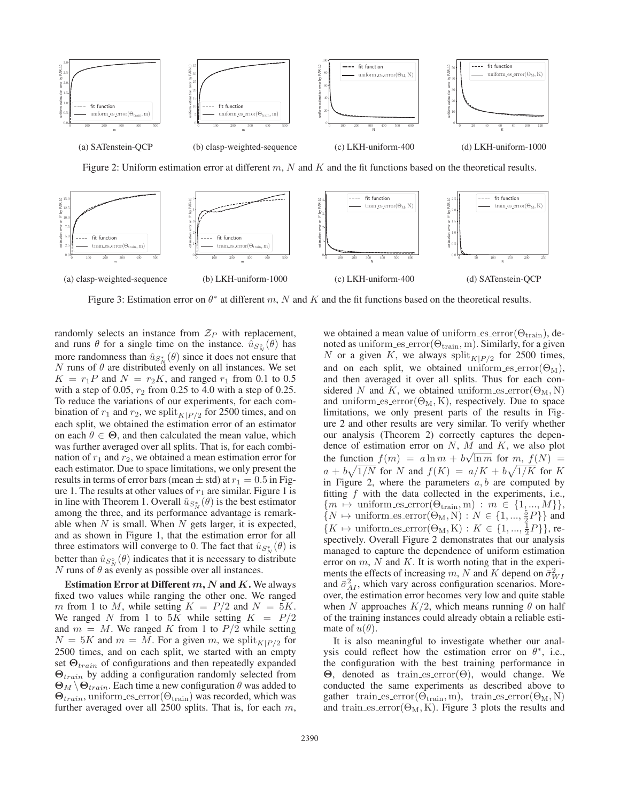

Figure 2: Uniform estimation error at different  $m$ , N and K and the fit functions based on the theoretical results.



Figure 3: Estimation error on  $\theta^*$  at different m, N and K and the fit functions based on the theoretical results.

randomly selects an instance from  $\mathcal{Z}_P$  with replacement, and runs  $\theta$  for a single time on the instance.  $\hat{u}_{S_N^{\circ}}(\theta)$  has more randomness than  $\hat{u}_{S_N^*}(\theta)$  since it does not ensure that  $N$  runs of  $\theta$  are distributed evenly on all instances. We set  $K = r_1 P$  and  $N = r_2 K$ , and ranged  $r_1$  from 0.1 to 0.5 with a step of 0.05,  $r_2$  from 0.25 to 4.0 with a step of 0.25. To reduce the variations of our experiments, for each combination of  $r_1$  and  $r_2$ , we split<sub>K|P/2</sub> for 2500 times, and on each split, we obtained the estimation error of an estimator on each  $\theta \in \Theta$ , and then calculated the mean value, which was further averaged over all splits. That is, for each combination of  $r_1$  and  $r_2$ , we obtained a mean estimation error for each estimator. Due to space limitations, we only present the results in terms of error bars (mean  $\pm$  std) at  $r_1 = 0.5$  in Figure 1. The results at other values of  $r_1$  are similar. Figure 1 is in line with Theorem 1. Overall  $\hat{u}_{S_N^*}(\theta)$  is the best estimator among the three, and its performance advantage is remarkable when  $N$  is small. When  $N$  gets larger, it is expected, and as shown in Figure 1, that the estimation error for all three estimators will converge to 0. The fact that  $\hat{u}_{S_N^*}(\theta)$  is better than  $\hat{u}_{S_N^{\circ}}(\theta)$  indicates that it is necessary to distribute N runs of  $\theta$  as evenly as possible over all instances.

Estimation Error at Different *m*, *N* and *K*. We always fixed two values while ranging the other one. We ranged m from 1 to M, while setting  $K = P/2$  and  $N = 5K$ . We ranged N from 1 to 5K while setting  $K = P/2$ and  $m = M$ . We ranged K from 1 to  $P/2$  while setting  $N = 5K$  and  $m = M$ . For a given m, we split  $K|P/2$  for 2500 times, and on each split, we started with an empty set **Θ**train of configurations and then repeatedly expanded **Θ**train by adding a configuration randomly selected from  $\Theta_M \backslash \Theta_{train}$ . Each time a new configuration  $\theta$  was added to  $\Theta_{train}$ , uniform es error( $\Theta_{train}$ ) was recorded, which was further averaged over all 2500 splits. That is, for each m,

we obtained a mean value of uniform es error $(\Theta_{\text{train}})$ , denoted as uniform es error $(\Theta_{\text{train}}, m)$ . Similarly, for a given N or a given K, we always split $_{K|P/2}$  for 2500 times, and on each split, we obtained uniform es error( $\Theta_M$ ), and then averaged it over all splits. Thus for each considered N and K, we obtained uniform es error $(\Theta_M, N)$ and uniform es error $(\Theta_M, K)$ , respectively. Due to space limitations, we only present parts of the results in Figure 2 and other results are very similar. To verify whether our analysis (Theorem 2) correctly captures the dependence of estimation error on N, M and K, we also plot the function  $f(m) = a \ln m + b \sqrt{\ln m}$  for  $m, f(N) =$  $a + b\sqrt{1/N}$  for N and  $f(K) = a/K + b\sqrt{1/K}$  for K in Figure 2, where the parameters  $a, b$  are computed by fitting  $f$  with the data collected in the experiments, i.e.,  ${m \mapsto \text{uniform\_es\_error}(\Theta_{\text{train}}, m) : m \in \{1, ..., M\}\},$  $\{N \mapsto \text{uniform\_es\_error}(\Theta_M, N) : N \in \{1, ..., \frac{5}{2}P\}\}\$ and  $\{K \mapsto \text{uniform\_es\_error}(\Theta_M, K) : K \in \{1, ..., \frac{1}{2}P\}\},\$ respectively. Overall Figure 2 demonstrates that our analysis managed to capture the dependence of uniform estimation error on  $m$ ,  $N$  and  $K$ . It is worth noting that in the experiments the effects of increasing m, N and K depend on  $\bar{\sigma}_{WI}^2$ and  $\bar{\sigma}_{AI}^2$ , which vary across configuration scenarios. Moreover, the estimation error becomes very low and quite stable when N approaches  $K/2$ , which means running  $\theta$  on half of the training instances could already obtain a reliable estimate of  $u(\theta)$ .

It is also meaningful to investigate whether our analysis could reflect how the estimation error on  $\theta^*$ , i.e., the configuration with the best training performance in **Θ**, denoted as train es error(Θ), would change. We conducted the same experiments as described above to gather train es error $(\Theta_{\text{train}}, m)$ , train es error $(\Theta_M, N)$ and train es error $(\Theta_M, K)$ . Figure 3 plots the results and